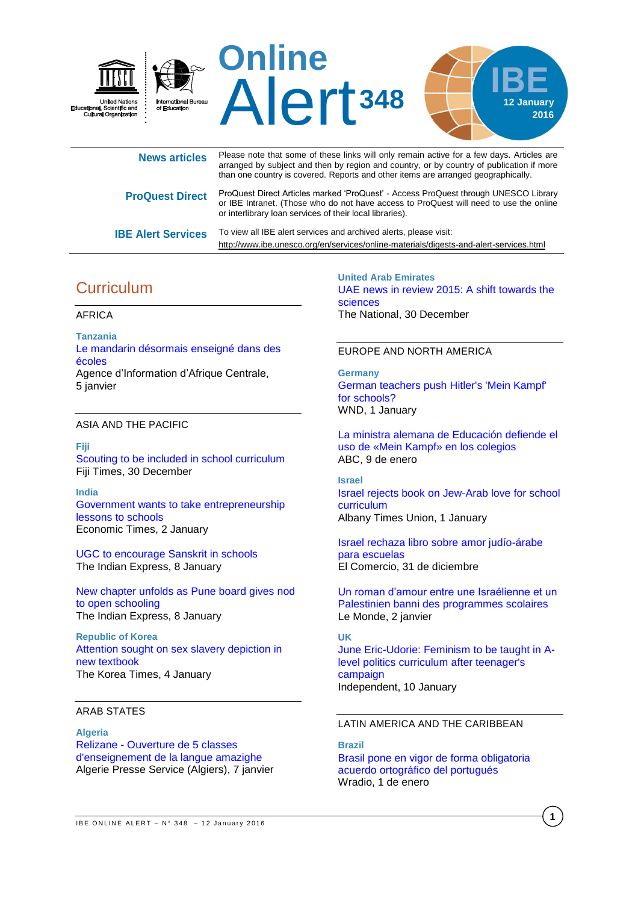

| <b>News articles</b>      | Please note that some of these links will only remain active for a few days. Articles are<br>arranged by subject and then by region and country, or by country of publication if more<br>than one country is covered. Reports and other items are arranged geographically. |
|---------------------------|----------------------------------------------------------------------------------------------------------------------------------------------------------------------------------------------------------------------------------------------------------------------------|
| <b>ProQuest Direct</b>    | ProQuest Direct Articles marked 'ProQuest' - Access ProQuest through UNESCO Library<br>or IBE Intranet. (Those who do not have access to ProQuest will need to use the online<br>or interlibrary loan services of their local libraries).                                  |
| <b>IBE Alert Services</b> | To view all IBE alert services and archived alerts, please visit:<br>http://www.ibe.unesco.org/en/services/online-materials/digests-and-alert-services.html                                                                                                                |

# **Curriculum**

### AFRICA

**Tanzania** [Le mandarin désormais enseigné dans des](http://fr.allafrica.com/stories/201601051127.html)  [écoles](http://fr.allafrica.com/stories/201601051127.html) Agence d'Information d'Afrique Centrale, 5 janvier

### ASIA AND THE PACIFIC

**Fiji**

[Scouting to be included in school curriculum](http://www.fijitimes.com/story.aspx?id=335834) Fiji Times, 30 December

**India** [Government wants to take entrepreneurship](http://economictimes.indiatimes.com/industry/services/education/government-wants-to-take-entrepreneurship-lessons-to-schools/articleshow/50412354.cms)  [lessons to schools](http://economictimes.indiatimes.com/industry/services/education/government-wants-to-take-entrepreneurship-lessons-to-schools/articleshow/50412354.cms) Economic Times, 2 January

[UGC to encourage Sanskrit in](http://indianexpress.com/article/education/ugc-to-encourage-sanskrit-in-schools/) schools The Indian Express, 8 January

[New chapter unfolds as Pune board gives nod](http://indianexpress.com/article/cities/pune/new-chapter-unfolds-as-pune-board-gives-nod-to-open-schooling/)  to open [schooling](http://indianexpress.com/article/cities/pune/new-chapter-unfolds-as-pune-board-gives-nod-to-open-schooling/) The Indian Express, 8 January

**Republic of Korea** [Attention sought on sex slavery depiction in](http://koreatimes.co.kr/www/news/nation/2016/01/113_194598.html)  [new textbook](http://koreatimes.co.kr/www/news/nation/2016/01/113_194598.html) The Korea Times, 4 January

### ARAB STATES

**Algeria** Relizane - [Ouverture de 5 classes](http://fr.allafrica.com/stories/201601080681.html)  [d'enseignement de la langue amazighe](http://fr.allafrica.com/stories/201601080681.html) Algerie Presse Service (Algiers), 7 janvier

**United Arab Emirates** [UAE news in review 2015: A shift towards the](http://www.thenational.ae/uae/education/uae-news-in-review-2015-a-shift-towards-the-sciences)  [sciences](http://www.thenational.ae/uae/education/uae-news-in-review-2015-a-shift-towards-the-sciences) The National, 30 December

#### EUROPE AND NORTH AMERICA

**Germany** [German teachers push Hitler's 'Mein Kampf'](http://www.wnd.com/2016/01/german-teachers-push-hitlers-mein-kampf-for-schools/)  [for schools?](http://www.wnd.com/2016/01/german-teachers-push-hitlers-mein-kampf-for-schools/) WND, 1 January

[La ministra alemana de Educación defiende el](http://www.abc.es/cultura/libros/abci-ministra-alemana-educacion-defiende-mein-kampf-colegios-201601090238_noticia.html)  [uso de «Mein Kampf» en los colegios](http://www.abc.es/cultura/libros/abci-ministra-alemana-educacion-defiende-mein-kampf-colegios-201601090238_noticia.html) ABC, 9 de enero

**Israel** [Israel rejects book on Jew-Arab love for school](http://www.timesunion.com/news/education/article/Israel-rejects-book-on-Jew-Arab-love-for-school-6729563.php)  [curriculum](http://www.timesunion.com/news/education/article/Israel-rejects-book-on-Jew-Arab-love-for-school-6729563.php) Albany Times Union, 1 January

[Israel rechaza libro sobre amor judío-árabe](http://elcomercio.pe/mundo/actualidad/israel-rechaza-libro-sobre-amor-judio-arabe-escuelas-noticia-1868020)  [para escuelas](http://elcomercio.pe/mundo/actualidad/israel-rechaza-libro-sobre-amor-judio-arabe-escuelas-noticia-1868020) El Comercio, 31 de diciembre

[Un roman d'amour entre une Israélienne et un](http://www.lemonde.fr/proche-orient/article/2016/01/01/un-roman-d-amour-entre-une-israelienne-et-un-palestinien-banni-des-programmes-scolaires_4840769_3218.html)  [Palestinien banni des programmes scolaires](http://www.lemonde.fr/proche-orient/article/2016/01/01/un-roman-d-amour-entre-une-israelienne-et-un-palestinien-banni-des-programmes-scolaires_4840769_3218.html) Le Monde, 2 janvier

#### **UK**

[June Eric-Udorie: Feminism to be taught in A](http://www.independent.co.uk/news/education/education-news/june-eric-udorie-feminism-to-be-taught-in-a-level-politics-curriculum-after-teenagers-campaign-a6804161.html)[level politics curriculum after teenager's](http://www.independent.co.uk/news/education/education-news/june-eric-udorie-feminism-to-be-taught-in-a-level-politics-curriculum-after-teenagers-campaign-a6804161.html)  [campaign](http://www.independent.co.uk/news/education/education-news/june-eric-udorie-feminism-to-be-taught-in-a-level-politics-curriculum-after-teenagers-campaign-a6804161.html) Independent, 10 January

## LATIN AMERICA AND THE CARIBBEAN

**Brazil** [Brasil pone en vigor de forma obligatoria](http://www.wradio.com.co/noticias/sociedad/brasil-pone-en-vigor-de-forma-obligatoria-acuerdo-ortografico-del-portugues/20160101/nota/3029304.aspx)  [acuerdo ortográfico del portugués](http://www.wradio.com.co/noticias/sociedad/brasil-pone-en-vigor-de-forma-obligatoria-acuerdo-ortografico-del-portugues/20160101/nota/3029304.aspx) Wradio, 1 de enero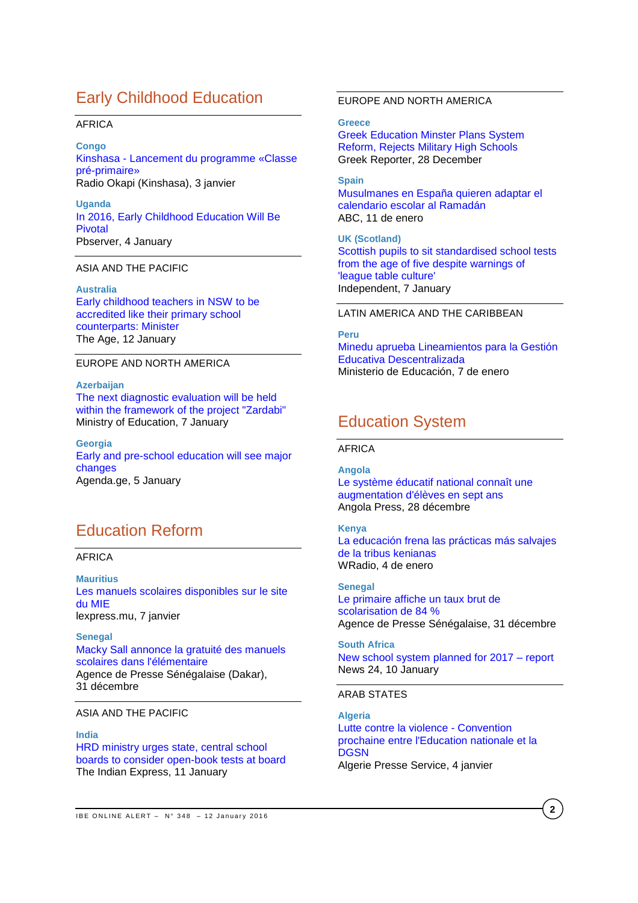# Early Childhood Education

#### AFRICA

**Congo** Kinshasa - [Lancement du programme «Classe](http://fr.allafrica.com/stories/201601030104.html)  [pré-primaire»](http://fr.allafrica.com/stories/201601030104.html) Radio Okapi (Kinshasa), 3 janvier

**Uganda** [In 2016, Early Childhood](http://allafrica.com/stories/201601042189.html) Education Will Be [Pivotal](http://allafrica.com/stories/201601042189.html) Pbserver, 4 January

#### ASIA AND THE PACIFIC

**Australia** [Early childhood teachers in NSW to be](http://www.theage.com.au/nsw/early-childhood-teachers-in-nsw-to-be-accredited-like-their-primary-school-counterparts-minister-20160112-gm49r6.html)  [accredited like their primary school](http://www.theage.com.au/nsw/early-childhood-teachers-in-nsw-to-be-accredited-like-their-primary-school-counterparts-minister-20160112-gm49r6.html)  [counterparts:](http://www.theage.com.au/nsw/early-childhood-teachers-in-nsw-to-be-accredited-like-their-primary-school-counterparts-minister-20160112-gm49r6.html) Minister The Age, 12 January

### EUROPE AND NORTH AMERICA

**Azerbaijan**

[The next diagnostic evaluation will be held](http://edu.gov.az/en/page/9/11845)  [within the framework of the project "Zardabi"](http://edu.gov.az/en/page/9/11845) Ministry of Education, 7 January

**Georgia** [Early and pre-school education will see major](http://agenda.ge/news/49822/eng)  [changes](http://agenda.ge/news/49822/eng) Agenda.ge, 5 January

# Education Reform

### AFRICA

**Mauritius** [Les manuels scolaires disponibles](http://fr.allafrica.com/stories/201601071285.html) sur le site [du MIE](http://fr.allafrica.com/stories/201601071285.html) lexpress.mu, 7 janvier

**Senegal** [Macky Sall annonce la gratuité des manuels](http://fr.allafrica.com/stories/201601010035.html)  [scolaires dans l'élémentaire](http://fr.allafrica.com/stories/201601010035.html) Agence de Presse Sénégalaise (Dakar), 31 décembre

#### ASIA AND THE PACIFIC

**India** [HRD ministry urges state, central school](http://indianexpress.com/article/india/india-news-india/centre-has-an-idea-bats-for-open-book-tests-at-board-level/)  [boards to consider open-book tests at board](http://indianexpress.com/article/india/india-news-india/centre-has-an-idea-bats-for-open-book-tests-at-board-level/) The Indian Express, 11 January

**Greece** [Greek Education Minster Plans System](http://greece.greekreporter.com/2015/12/28/greek-education-minster-plans-system-reform-rejects-military-high-schools/)  [Reform, Rejects Military High Schools](http://greece.greekreporter.com/2015/12/28/greek-education-minster-plans-system-reform-rejects-military-high-schools/) Greek Reporter, 28 December

**Spain** [Musulmanes en España quieren adaptar el](http://www.abc.es/sociedad/abci-musulmanes-espana-quieren-adaptar-calendario-escolar-ramadan-201601111155_noticia.html)  [calendario escolar al Ramadán](http://www.abc.es/sociedad/abci-musulmanes-espana-quieren-adaptar-calendario-escolar-ramadan-201601111155_noticia.html) ABC, 11 de enero

**UK (Scotland)** [Scottish pupils to sit standardised school tests](http://www.independent.co.uk/news/education/education-news/scottish-pupils-to-sit-standardised-school-tests-from-the-age-of-five-despite-warnings-of-league-a6799921.html)  [from the age of five despite warnings of](http://www.independent.co.uk/news/education/education-news/scottish-pupils-to-sit-standardised-school-tests-from-the-age-of-five-despite-warnings-of-league-a6799921.html)  ['league table culture'](http://www.independent.co.uk/news/education/education-news/scottish-pupils-to-sit-standardised-school-tests-from-the-age-of-five-despite-warnings-of-league-a6799921.html) Independent, 7 January

### LATIN AMERICA AND THE CARIBBEAN

**Peru** [Minedu aprueba Lineamientos para la Gestión](http://www.minedu.gob.pe/n/noticia.php?id=36262)  [Educativa Descentralizada](http://www.minedu.gob.pe/n/noticia.php?id=36262) Ministerio de Educación, 7 de enero

# Education System

#### AFRICA

#### **Angola**

[Le système éducatif national connaît une](http://fr.allafrica.com/stories/201512290551.html)  [augmentation d'élèves en sept ans](http://fr.allafrica.com/stories/201512290551.html) Angola Press, 28 décembre

#### **Kenya**

[La educación frena las prácticas más salvajes](http://www.wradio.com.co/noticias/internacional/la-educacion-frena-las-practicas-mas-salvajes-de-la-tribus-kenianas/20160104/nota/3030110.aspx)  [de la tribus kenianas](http://www.wradio.com.co/noticias/internacional/la-educacion-frena-las-practicas-mas-salvajes-de-la-tribus-kenianas/20160104/nota/3030110.aspx) WRadio, 4 de enero

#### **Senegal**

[Le primaire affiche un taux brut de](http://fr.allafrica.com/stories/201512311216.html)  [scolarisation de 84 %](http://fr.allafrica.com/stories/201512311216.html) Agence de Presse Sénégalaise, 31 décembre

**South Africa** [New school system planned for 2017 –](http://www.news24.com/SouthAfrica/News/new-school-system-planned-for-2017-report-20160110) report News 24, 10 January

#### ARAB STATES

**Algeria** [Lutte contre la violence -](http://fr.allafrica.com/stories/201601050655.html) Convention [prochaine entre l'Education nationale et la](http://fr.allafrica.com/stories/201601050655.html)  **[DGSN](http://fr.allafrica.com/stories/201601050655.html)** Algerie Presse Service, 4 janvier

**2**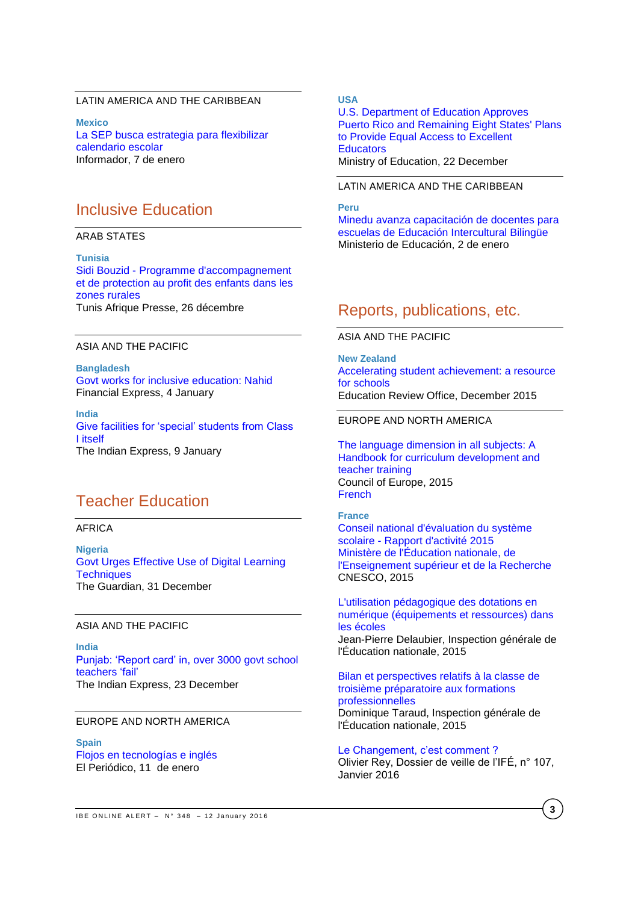## LATIN AMERICA AND THE CARIBBEAN

**Mexico** [La SEP busca estrategia para flexibilizar](http://www.informador.com.mx/mexico/2016/636913/6/la-sep-busca-estrategia-para-flexibilizar-calendario-escolar.htm)  [calendario escolar](http://www.informador.com.mx/mexico/2016/636913/6/la-sep-busca-estrategia-para-flexibilizar-calendario-escolar.htm) Informador, 7 de enero

# Inclusive Education

#### ARAB STATES

**Tunisia** Sidi Bouzid - [Programme d'accompagnement](http://fr.allafrica.com/stories/201512281856.html)  [et de protection au profit des enfants dans les](http://fr.allafrica.com/stories/201512281856.html)  [zones rurales](http://fr.allafrica.com/stories/201512281856.html) Tunis Afrique Presse, 26 décembre

### ASIA AND THE PACIFIC

**Bangladesh** [Govt works for inclusive education: Nahid](http://www.thefinancialexpress-bd.com/2016/01/04/9164) Financial Express, 4 January

**India** [Give facilities for 'special' students from Class](http://indianexpress.com/article/cities/pune/give-facilities-for-special-students-from-class-i-itself/)  I [itself](http://indianexpress.com/article/cities/pune/give-facilities-for-special-students-from-class-i-itself/) The Indian Express, 9 January

# Teacher Education

### AFRICA

**Nigeria** Govt [Urges Effective Use of Digital Learning](http://allafrica.com/stories/201512310499.html)  **[Techniques](http://allafrica.com/stories/201512310499.html)** The Guardian, 31 December

#### ASIA AND THE PACIFIC

**India** [Punjab: 'Report card' in, over 3000 govt school](http://indianexpress.com/article/cities/chandigarh/punjab-report-card-in-over-3000-govt-school-teachers-fail/)  [teachers](http://indianexpress.com/article/cities/chandigarh/punjab-report-card-in-over-3000-govt-school-teachers-fail/) 'fail' The Indian Express, 23 December

## EUROPE AND NORTH AMERICA

**Spain** [Flojos en tecnologías e inglés](http://www.elperiodico.com/es/noticias/educacion/reciclaje-maestros-flojos-tecnologias-ingles-4799506) El Periódico, 11 de enero

## **USA**

[U.S. Department of Education Approves](http://www.ed.gov/news/press-releases/us-department-education-approves-puerto-rico-and-remaining-eight-states-plans-provide-equal-access-excellent-educators)  [Puerto Rico and Remaining Eight States' Plans](http://www.ed.gov/news/press-releases/us-department-education-approves-puerto-rico-and-remaining-eight-states-plans-provide-equal-access-excellent-educators)  [to Provide Equal Access to Excellent](http://www.ed.gov/news/press-releases/us-department-education-approves-puerto-rico-and-remaining-eight-states-plans-provide-equal-access-excellent-educators)  **[Educators](http://www.ed.gov/news/press-releases/us-department-education-approves-puerto-rico-and-remaining-eight-states-plans-provide-equal-access-excellent-educators)** Ministry of Education, 22 December

#### LATIN AMERICA AND THE CARIBBEAN

#### **Peru**

[Minedu avanza capacitación de docentes para](http://www.minedu.gob.pe/n/noticia.php?id=36215) [escuelas de Educación Intercultural Bilingüe](http://www.minedu.gob.pe/n/noticia.php?id=36215) Ministerio de Educación, 2 de enero

# Reports, publications, etc.

ASIA AND THE PACIFIC

**New Zealand** [Accelerating student achievement: a](http://www.ero.govt.nz/National-Reports/Accelerating-student-achievement-a-resource-for-schools-December-2015) resource [for schools](http://www.ero.govt.nz/National-Reports/Accelerating-student-achievement-a-resource-for-schools-December-2015) Education Review Office, December 2015

## EUROPE AND NORTH AMERICA

[The language dimension in all subjects: A](http://www.coe.int/t/dg4/linguistic/Source/Handbook-Scol_final_EN.pdf)  [Handbook for curriculum development and](http://www.coe.int/t/dg4/linguistic/Source/Handbook-Scol_final_EN.pdf)  [teacher training](http://www.coe.int/t/dg4/linguistic/Source/Handbook-Scol_final_EN.pdf) Council of Europe, 2015 **[French](http://www.coe.int/t/dg4/linguistic/Source/Handbook-Scol_final_FR.pdf)** 

#### **France** [Conseil national d'évaluation du système](http://www.ladocumentationfrancaise.fr/var/storage/rapports-publics/154000850.pdf)  scolaire - [Rapport d'activité 2015](http://www.ladocumentationfrancaise.fr/var/storage/rapports-publics/154000850.pdf) [Ministère de l'Éducation nationale, de](http://www.ladocumentationfrancaise.fr/var/storage/rapports-publics/154000850.pdf)  [l'Enseignement supérieur et de la Recherche](http://www.ladocumentationfrancaise.fr/var/storage/rapports-publics/154000850.pdf)

CNESCO, 2015

[L'utilisation pédagogique des dotations en](http://www.ladocumentationfrancaise.fr/var/storage/rapports-publics/154000834.pdf)  [numérique \(équipements et ressources\) dans](http://www.ladocumentationfrancaise.fr/var/storage/rapports-publics/154000834.pdf)  [les écoles](http://www.ladocumentationfrancaise.fr/var/storage/rapports-publics/154000834.pdf) Jean-Pierre Delaubier, Inspection générale de l'Éducation nationale, 2015

[Bilan et perspectives relatifs à la classe de](http://www.ladocumentationfrancaise.fr/var/storage/rapports-publics/154000823.pdf)  [troisième préparatoire aux formations](http://www.ladocumentationfrancaise.fr/var/storage/rapports-publics/154000823.pdf)  [professionnelles](http://www.ladocumentationfrancaise.fr/var/storage/rapports-publics/154000823.pdf) Dominique Taraud, Inspection générale de

l'Éducation nationale, 2015

[Le Changement, c'est comment ?](http://ife.ens-lyon.fr/vst/DA-Veille/107-janvier-2016.pdf) Olivier Rey, Dossier de veille de l'IFÉ, n° 107, Janvier 2016